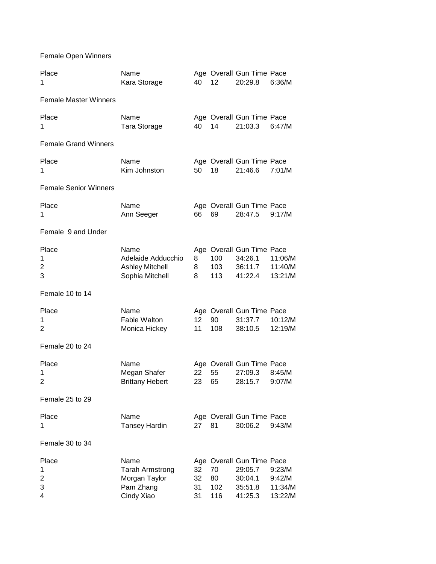Female Open Winners

| Place<br>1                   | Name<br>Kara Storage                                                       | 40                    | 12                     | Age Overall Gun Time Pace<br>20:29.8                                  | 6:36/M                                 |
|------------------------------|----------------------------------------------------------------------------|-----------------------|------------------------|-----------------------------------------------------------------------|----------------------------------------|
| <b>Female Master Winners</b> |                                                                            |                       |                        |                                                                       |                                        |
| Place<br>1                   | Name<br>Tara Storage                                                       | 40                    | 14                     | Age Overall Gun Time Pace<br>21:03.3                                  | 6:47/M                                 |
| <b>Female Grand Winners</b>  |                                                                            |                       |                        |                                                                       |                                        |
| Place<br>1                   | Name<br>Kim Johnston                                                       | 50                    | 18                     | Age Overall Gun Time Pace<br>21:46.6                                  | 7:01/M                                 |
| <b>Female Senior Winners</b> |                                                                            |                       |                        |                                                                       |                                        |
| Place<br>1                   | Name<br>Ann Seeger                                                         | 66                    | 69                     | Age Overall Gun Time Pace<br>28:47.5                                  | 9:17/M                                 |
| Female 9 and Under           |                                                                            |                       |                        |                                                                       |                                        |
| Place<br>1<br>2<br>3         | Name<br>Adelaide Adducchio<br><b>Ashley Mitchell</b><br>Sophia Mitchell    | 8<br>8<br>8           | 100<br>103<br>113      | Age Overall Gun Time Pace<br>34:26.1<br>36:11.7<br>41:22.4            | 11:06/M<br>11:40/M<br>13:21/M          |
| Female 10 to 14              |                                                                            |                       |                        |                                                                       |                                        |
| Place<br>1<br>2              | Name<br><b>Fable Walton</b><br>Monica Hickey                               | 12 <sub>2</sub><br>11 | 90<br>108              | Age Overall Gun Time Pace<br>31:37.7<br>38:10.5                       | 10:12/M<br>12:19/M                     |
| Female 20 to 24              |                                                                            |                       |                        |                                                                       |                                        |
| Place<br>1<br>2              | Name<br>Megan Shafer<br><b>Brittany Hebert</b>                             | 22<br>23              | 55<br>65               | Age Overall Gun Time Pace<br>27:09.3<br>28:15.7                       | 8:45/M<br>9:07/M                       |
| Female 25 to 29              |                                                                            |                       |                        |                                                                       |                                        |
| Place<br>1                   | Name<br><b>Tansey Hardin</b>                                               | 27                    | 81                     | Age Overall Gun Time Pace<br>30:06.2                                  | 9:43/M                                 |
| Female 30 to 34              |                                                                            |                       |                        |                                                                       |                                        |
| Place<br>1<br>2<br>3<br>4    | Name<br><b>Tarah Armstrong</b><br>Morgan Taylor<br>Pam Zhang<br>Cindy Xiao | 32<br>32<br>31<br>31  | 70<br>80<br>102<br>116 | Age Overall Gun Time Pace<br>29:05.7<br>30:04.1<br>35:51.8<br>41:25.3 | 9:23/M<br>9:42/M<br>11:34/M<br>13:22/M |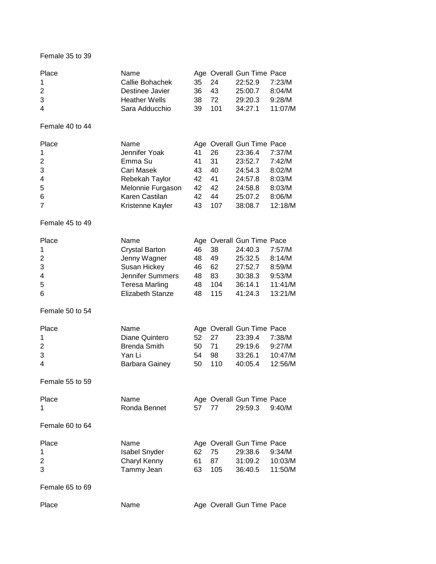## Female 35 to 39

| Place | Name                 |       |     | Age Overall Gun Time Pace |        |
|-------|----------------------|-------|-----|---------------------------|--------|
| -1    | Callie Bohachek      | 35 24 |     | 22:52.9                   | 7:23/M |
| 2     | Destinee Javier      | 36 43 |     | 25:00.7                   | 8:04/M |
| 3     | <b>Heather Wells</b> | 38 72 |     | 29:20.3                   | 9:28/M |
| 4     | Sara Adducchio       | 39.   | 101 | 34:27.1 11:07/M           |        |

Female 40 to 44

| Place                | Name              |    |     | Age Overall Gun Time Pace |         |
|----------------------|-------------------|----|-----|---------------------------|---------|
| $\blacktriangleleft$ | Jennifer Yoak     | 41 | 26  | 23:36.4                   | 7:37/M  |
| 2                    | Emma Su           | 41 | -31 | 23:52.7                   | 7:42/M  |
| 3                    | Cari Masek        | 43 | 40  | 24:54.3                   | 8:02/M  |
| $\overline{4}$       | Rebekah Taylor    | 42 | -41 | 24:57.8                   | 8:03/M  |
| 5                    | Melonnie Furgason | 42 | 42  | 24:58.8                   | 8:03/M  |
| 6                    | Karen Castilan    | 42 | 44  | 25:07.2                   | 8:06/M  |
| $\overline{7}$       | Kristenne Kayler  | 43 | 107 | 38:08.7                   | 12:18/M |

Female 45 to 49

| Place          | Name                    |     |      | Age Overall Gun Time Pace |         |
|----------------|-------------------------|-----|------|---------------------------|---------|
| $\mathbf{1}$   | <b>Crystal Barton</b>   | 46. | - 38 | 24:40.3                   | 7:57/M  |
| 2              | Jenny Wagner            | 48  | 49   | 25:32.5                   | 8:14/M  |
| 3              | Susan Hickey            | 46. | -62  | 27:52.7                   | 8:59/M  |
| $\overline{4}$ | <b>Jennifer Summers</b> | 48  | 83   | 30:38.3                   | 9:53/M  |
| 5              | Teresa Marling          | 48  | 104  | 36:14.1                   | 11:41/M |
| 6              | Elizabeth Stanze        | 48  | 115  | 41:24.3                   | 13:21/M |

Female 50 to 54

| Place          | Name                  |       |     | Age Overall Gun Time Pace |         |
|----------------|-----------------------|-------|-----|---------------------------|---------|
|                | Diane Quintero        | 52 27 |     | 23:39.4                   | 7:38/M  |
| 2              | <b>Brenda Smith</b>   | 50 71 |     | 29:19.6                   | 9:27/M  |
| 3              | Yan Li                | 54.   | -98 | 33:26.1                   | 10:47/M |
| $\overline{4}$ | <b>Barbara Gainey</b> | 50    | 110 | 40:05.4                   | 12:56/M |

Female 55 to 59

| Place | Name         |       | Age Overall Gun Time Pace |  |
|-------|--------------|-------|---------------------------|--|
|       | Ronda Bennet | 57 77 | 29:59.3 9:40/M            |  |

Female 60 to 64

| Place | Name                 |       |     | Age Overall Gun Time Pace |         |
|-------|----------------------|-------|-----|---------------------------|---------|
| -1    | <b>Isabel Snyder</b> | 62 75 |     | 29:38.6                   | 9:34/M  |
| 2     | Charyl Kenny         | 61.   | -87 | 31:09.2                   | 10:03/M |
| 3     | Tammy Jean           | 63 —  | 105 | 36:40.5                   | 11:50/M |
|       |                      |       |     |                           |         |

Female 65 to 69

| Place | Name | Age Overall Gun Time Pace |
|-------|------|---------------------------|
|-------|------|---------------------------|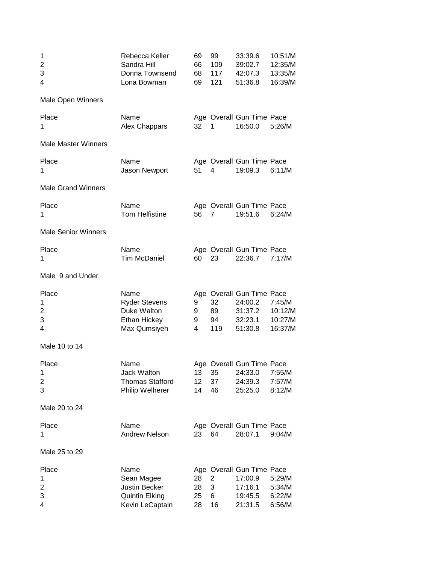| 1<br>2<br>3<br>4           | Rebecca Keller<br>Sandra Hill<br>Donna Townsend<br>Lona Bowman                         | 69<br>66<br>68<br>69        | 99<br>109<br>117<br>121 | 33:39.6<br>39:02.7<br>42:07.3<br>51:36.8                              | 10:51/M<br>12:35/M<br>13:35/M<br>16:39/M |
|----------------------------|----------------------------------------------------------------------------------------|-----------------------------|-------------------------|-----------------------------------------------------------------------|------------------------------------------|
| Male Open Winners          |                                                                                        |                             |                         |                                                                       |                                          |
| Place<br>1                 | Name<br>Alex Chappars                                                                  | 32                          | 1                       | Age Overall Gun Time Pace<br>16:50.0                                  | 5:26/M                                   |
| <b>Male Master Winners</b> |                                                                                        |                             |                         |                                                                       |                                          |
| Place<br>1                 | Name<br>Jason Newport                                                                  | 51                          | 4                       | Age Overall Gun Time Pace<br>19:09.3                                  | 6:11/M                                   |
| <b>Male Grand Winners</b>  |                                                                                        |                             |                         |                                                                       |                                          |
| Place<br>1                 | Name<br><b>Tom Helfistine</b>                                                          | 56                          | $\overline{7}$          | Age Overall Gun Time Pace<br>19:51.6                                  | 6:24/M                                   |
| <b>Male Senior Winners</b> |                                                                                        |                             |                         |                                                                       |                                          |
| Place<br>1                 | Name<br><b>Tim McDaniel</b>                                                            | 60                          | 23                      | Age Overall Gun Time Pace<br>22:36.7                                  | 7:17/M                                   |
| Male 9 and Under           |                                                                                        |                             |                         |                                                                       |                                          |
| Place<br>1<br>2<br>3<br>4  | Name<br><b>Ryder Stevens</b><br>Duke Walton<br><b>Ethan Hickey</b><br>Max Qumsiyeh     | 9<br>9<br>9<br>4            | 32<br>89<br>94<br>119   | Age Overall Gun Time Pace<br>24:00.2<br>31:37.2<br>32:23.1<br>51:30.8 | 7:45/M<br>10:12/M<br>10:27/M<br>16:37/M  |
| Male 10 to 14              |                                                                                        |                             |                         |                                                                       |                                          |
| Place<br>1<br>2<br>3       | Name<br><b>Jack Walton</b><br><b>Thomas Stafford</b><br>Philip Welherer                | 13<br>12 <sub>2</sub><br>14 | 35<br>37<br>46          | Age Overall Gun Time Pace<br>24:33.0<br>24:39.3<br>25:25.0            | 7:55/M<br>7:57/M<br>8:12/M               |
| Male 20 to 24              |                                                                                        |                             |                         |                                                                       |                                          |
| Place<br>1                 | Name<br><b>Andrew Nelson</b>                                                           | 23                          | 64                      | Age Overall Gun Time Pace<br>28:07.1                                  | 9:04/M                                   |
| Male 25 to 29              |                                                                                        |                             |                         |                                                                       |                                          |
| Place<br>1<br>2<br>3<br>4  | Name<br>Sean Magee<br><b>Justin Becker</b><br><b>Quintin Elking</b><br>Kevin LeCaptain | 28<br>28<br>25<br>28        | 2<br>3<br>6<br>16       | Age Overall Gun Time Pace<br>17:00.9<br>17:16.1<br>19:45.5<br>21:31.5 | 5:29/M<br>5:34/M<br>6:22/M<br>6:56/M     |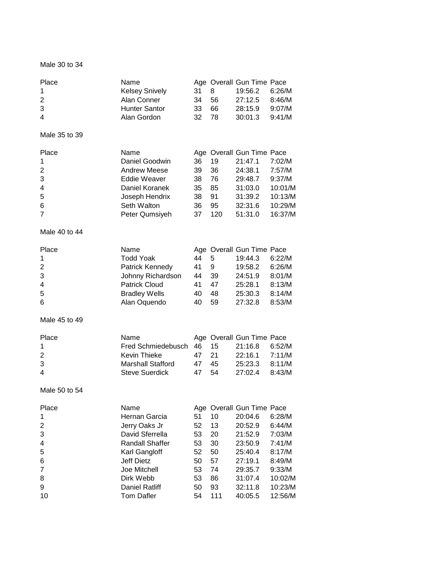## Male 30 to 34

| Place                   | Name                                       |    |     | Age Overall Gun Time Pace |         |
|-------------------------|--------------------------------------------|----|-----|---------------------------|---------|
| 1                       | <b>Kelsey Snively</b>                      | 31 | 8   | 19:56.2                   | 6:26/M  |
| $\overline{\mathbf{c}}$ | Alan Conner                                | 34 | 56  | 27:12.5                   | 8:46/M  |
| 3                       | <b>Hunter Santor</b>                       | 33 | 66  | 28:15.9                   | 9:07/M  |
| 4                       | Alan Gordon                                | 32 | 78  | 30:01.3                   | 9:41/M  |
| Male 35 to 39           |                                            |    |     |                           |         |
| Place                   | Name                                       |    |     | Age Overall Gun Time Pace |         |
| 1                       | Daniel Goodwin                             | 36 | 19  | 21:47.1                   | 7:02/M  |
| $\overline{\mathbf{c}}$ | <b>Andrew Meese</b>                        | 39 | 36  | 24:38.1                   | 7:57/M  |
| 3                       | <b>Eddie Weaver</b>                        | 38 | 76  | 29:48.7                   | 9:37/M  |
| 4                       | Daniel Koranek                             | 35 | 85  | 31:03.0                   | 10:01/M |
| 5                       | Joseph Hendrix                             | 38 | 91  | 31:39.2                   | 10:13/M |
| 6                       | Seth Walton                                | 36 | 95  | 32:31.6                   | 10:29/M |
| 7                       | Peter Qumsiyeh                             | 37 | 120 | 51:31.0                   | 16:37/M |
| Male 40 to 44           |                                            |    |     |                           |         |
| Place                   | Name                                       |    |     | Age Overall Gun Time Pace |         |
| 1                       | <b>Todd Yoak</b>                           | 44 | 5   | 19:44.3                   | 6:22/M  |
| $\overline{c}$          | Patrick Kennedy                            | 41 | 9   | 19:58.2                   | 6:26/M  |
| 3                       | Johnny Richardson                          | 44 | 39  | 24:51.9                   | 8:01/M  |
| 4                       | <b>Patrick Cloud</b>                       | 41 | 47  | 25:28.1                   | 8:13/M  |
| 5                       | <b>Bradley Wells</b>                       | 40 | 48  | 25:30.3                   | 8:14/M  |
| 6                       | Alan Oquendo                               | 40 | 59  | 27:32.8                   | 8:53/M  |
| Male 45 to 49           |                                            |    |     |                           |         |
| Place                   | Name                                       |    |     | Age Overall Gun Time Pace |         |
| 1                       | Fred Schmiedebusch                         | 46 | 15  | 21:16.8                   | 6:52/M  |
| $\overline{\mathbf{c}}$ | Kevin Thieke                               | 47 | 21  | 22:16.1                   | 7:11/M  |
| 3                       | <b>Marshall Stafford</b>                   | 47 | 45  | 25:23.3                   | 8:11/M  |
| 4                       | <b>Steve Suerdick</b>                      | 47 | 54  | 27:02.4                   | 8:43/M  |
| Male 50 to 54           |                                            |    |     |                           |         |
| Place                   | Name                                       |    |     | Age Overall Gun Time Pace |         |
| 1                       | Hernan Garcia                              | 51 | 10  | 20:04.6                   | 6:28/M  |
| 2                       | Jerry Oaks Jr                              | 52 | 13  | 20:52.9                   | 6:44/M  |
| 3                       | David Sferrella                            | 53 | 20  | 21:52.9                   | 7:03/M  |
| 4                       | <b>Randall Shaffer</b>                     | 53 | 30  | 23:50.9                   | 7:41/M  |
| 5                       | Karl Gangloff                              | 52 | 50  | 25:40.4                   | 8:17/M  |
|                         | <b>Jeff Dietz</b>                          | 50 | 57  | 27:19.1                   | 8:49/M  |
| 6                       | Joe Mitchell                               |    |     |                           |         |
| 7                       | Dirk Webb                                  | 53 | 74  | 29:35.7                   | 9:33/M  |
| 8                       |                                            | 53 | 86  | 31:07.4                   | 10:02/M |
| 9                       | <b>Daniel Ratliff</b><br><b>Tom Dafler</b> | 50 | 93  | 32:11.8                   | 10:23/M |
| 10                      |                                            | 54 | 111 | 40:05.5                   | 12:56/M |